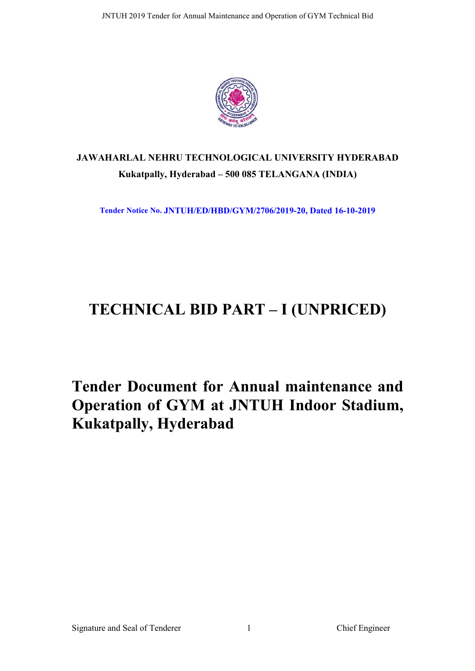

# **JAWAHARLAL NEHRU TECHNOLOGICAL UNIVERSITY HYDERABAD Kukatpally, Hyderabad – 500 085 TELANGANA (INDIA)**

**Tender Notice No. JNTUH/ED/HBD/GYM/2706/2019-20, Dated 16-10-2019**

# **TECHNICAL BID PART – I (UNPRICED)**

**Tender Document for Annual maintenance and Operation of GYM at JNTUH Indoor Stadium, Kukatpally, Hyderabad**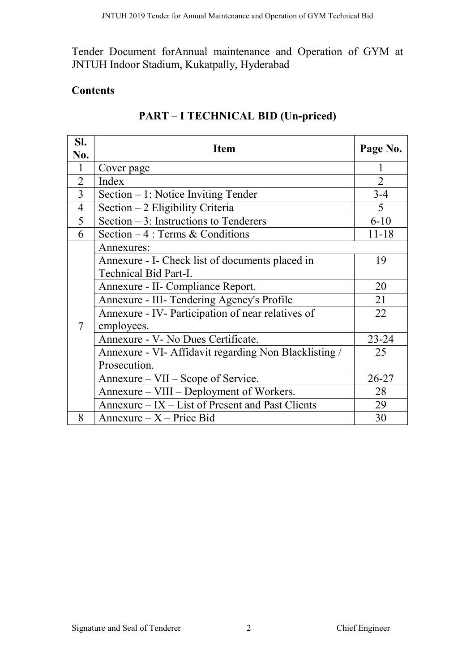Tender Document forAnnual maintenance and Operation of GYM at JNTUH Indoor Stadium, Kukatpally, Hyderabad

# **Contents**

| SI.<br>No.     | Item                                                  | Page No.       |
|----------------|-------------------------------------------------------|----------------|
| 1              | Cover page                                            | 1              |
| $\overline{2}$ | Index                                                 | $\overline{2}$ |
| $\overline{3}$ | Section – 1: Notice Inviting Tender                   | $3 - 4$        |
| 4              | Section - 2 Eligibility Criteria                      | 5              |
| 5              | Section $-3$ : Instructions to Tenderers              | $6 - 10$       |
| 6              | Section $-4$ : Terms & Conditions                     | $11 - 18$      |
|                | Annexures:                                            |                |
|                | Annexure - I- Check list of documents placed in       | 19             |
|                | Technical Bid Part-I.                                 |                |
|                | Annexure - II- Compliance Report.                     | 20             |
|                | Annexure - III- Tendering Agency's Profile            | 21             |
|                | Annexure - IV- Participation of near relatives of     | 22             |
| $\tau$         | employees.                                            |                |
|                | Annexure - V- No Dues Certificate.                    | $23 - 24$      |
|                | Annexure - VI- Affidavit regarding Non Blacklisting / | 25             |
|                | Prosecution.                                          |                |
|                | Annexure – VII – Scope of Service.                    | $26 - 27$      |
|                | Annexure – VIII – Deployment of Workers.              | 28             |
|                | Annexure – IX – List of Present and Past Clients      | 29             |
| 8              | $Annexure - X - Price Bid$                            | 30             |

# **PART – I TECHNICAL BID (Un-priced)**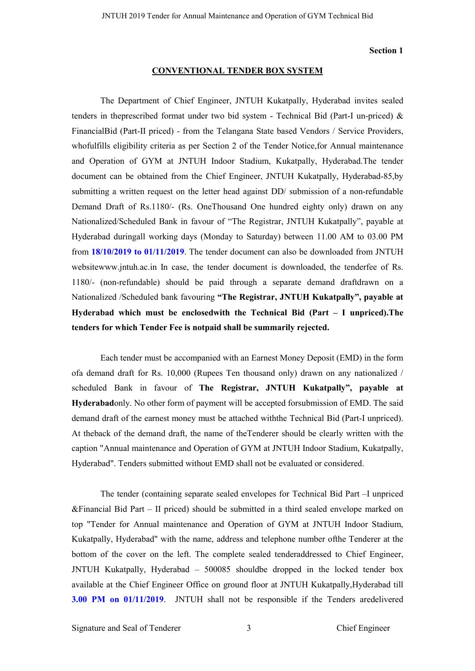#### **Section 1**

#### **CONVENTIONAL TENDER BOX SYSTEM**

The Department of Chief Engineer, JNTUH Kukatpally, Hyderabad invites sealed tenders in the prescribed format under two bid system - Technical Bid (Part-I un-priced)  $\&$ FinancialBid (Part-II priced) - from the Telangana State based Vendors / Service Providers, whofulfills eligibility criteria as per Section 2 of the Tender Notice,for Annual maintenance and Operation of GYM at JNTUH Indoor Stadium, Kukatpally, Hyderabad.The tender document can be obtained from the Chief Engineer, JNTUH Kukatpally, Hyderabad-85,by submitting a written request on the letter head against DD/ submission of a non-refundable Demand Draft of Rs.1180/- (Rs. OneThousand One hundred eighty only) drawn on any Nationalized/Scheduled Bank in favour of "The Registrar, JNTUH Kukatpally", payable at Hyderabad duringall working days (Monday to Saturday) between 11.00 AM to 03.00 PM from **18/10/2019 to 01/11/2019**. The tender document can also be downloaded from JNTUH websitewww.jntuh.ac.in In case, the tender document is downloaded, the tenderfee of Rs. 1180/- (non-refundable) should be paid through a separate demand draftdrawn on a Nationalized /Scheduled bank favouring **"The Registrar, JNTUH Kukatpally", payable at Hyderabad which must be enclosedwith the Technical Bid (Part – I unpriced).The tenders for which Tender Fee is notpaid shall be summarily rejected.**

Each tender must be accompanied with an Earnest Money Deposit (EMD) in the form ofa demand draft for Rs. 10,000 (Rupees Ten thousand only) drawn on any nationalized / scheduled Bank in favour of **The Registrar, JNTUH Kukatpally", payable at Hyderabad**only. No other form of payment will be accepted forsubmission of EMD. The said demand draft of the earnest money must be attached withthe Technical Bid (Part-I unpriced). At theback of the demand draft, the name of theTenderer should be clearly written with the caption "Annual maintenance and Operation of GYM at JNTUH Indoor Stadium, Kukatpally, Hyderabad". Tenders submitted without EMD shall not be evaluated or considered.

The tender (containing separate sealed envelopes for Technical Bid Part –I unpriced &Financial Bid Part – II priced) should be submitted in a third sealed envelope marked on top "Tender for Annual maintenance and Operation of GYM at JNTUH Indoor Stadium, Kukatpally, Hyderabad" with the name, address and telephone number ofthe Tenderer at the bottom of the cover on the left. The complete sealed tenderaddressed to Chief Engineer, JNTUH Kukatpally, Hyderabad – 500085 shouldbe dropped in the locked tender box available at the Chief Engineer Office on ground floor at JNTUH Kukatpally,Hyderabad till **3.00 PM on 01/11/2019**. JNTUH shall not be responsible if the Tenders aredelivered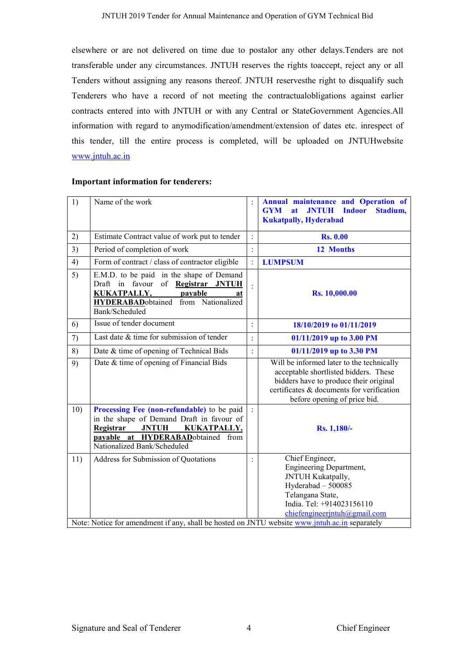elsewhere or are not delivered on time due to postalor any other delays.Tenders are not transferable under any circumstances. JNTUH reserves the rights toaccept, reject any or all Tenders without assigning any reasons thereof. JNTUH reservesthe right to disqualify such Tenderers who have a record of not meeting the contractualobligations against earlier contracts entered into with JNTUH or with any Central or StateGovernment Agencies.All information with regard to anymodification/amendment/extension of dates etc. inrespect of this tender, till the entire process is completed, will be uploaded on JNTUHwebsite www.jntuh.ac.in

|                                                                                                                                                                                                         |                | <b>Annual maintenance and Operation of</b><br><b>JNTUH</b><br><b>Indoor</b><br><b>GYM</b><br>at<br>Stadium,<br><b>Kukatpally, Hyderabad</b>                                                               |
|---------------------------------------------------------------------------------------------------------------------------------------------------------------------------------------------------------|----------------|-----------------------------------------------------------------------------------------------------------------------------------------------------------------------------------------------------------|
| Estimate Contract value of work put to tender                                                                                                                                                           | $\ddot{\cdot}$ | <b>Rs. 0.00</b>                                                                                                                                                                                           |
| Period of completion of work                                                                                                                                                                            | $\ddot{\cdot}$ | 12 Months                                                                                                                                                                                                 |
| Form of contract / class of contractor eligible                                                                                                                                                         | $\vdots$       | <b>LUMPSUM</b>                                                                                                                                                                                            |
| E.M.D. to be paid in the shape of Demand<br>Draft in favour of Registrar JNTUH<br><b>KUKATPALLY,</b><br>payable<br>at<br><b>HYDERABAD</b> obtained from Nationalized<br>Bank/Scheduled                  | $\vdots$       | <b>Rs. 10,000.00</b>                                                                                                                                                                                      |
| Issue of tender document                                                                                                                                                                                | $\ddot{\cdot}$ | 18/10/2019 to 01/11/2019                                                                                                                                                                                  |
| Last date & time for submission of tender                                                                                                                                                               | $\vdots$       | 01/11/2019 up to 3.00 PM                                                                                                                                                                                  |
| Date & time of opening of Technical Bids                                                                                                                                                                | $\vdots$       | 01/11/2019 up to 3.30 PM                                                                                                                                                                                  |
| Date & time of opening of Financial Bids                                                                                                                                                                |                | Will be informed later to the technically<br>acceptable shortlisted bidders. These<br>bidders have to produce their original<br>certificates & documents for verification<br>before opening of price bid. |
| Processing Fee (non-refundable) to be paid<br>in the shape of Demand Draft in favour of<br>Registrar<br><b>JNTUH</b><br>KUKATPALLY,<br>payable at HYDERABADobtained from<br>Nationalized Bank/Scheduled |                | Rs. 1,180/-                                                                                                                                                                                               |
| Address for Submission of Quotations                                                                                                                                                                    |                | Chief Engineer,<br>Engineering Department,<br>JNTUH Kukatpally,<br>Hyderabad - 500085<br>Telangana State,<br>India. Tel: +914023156110<br>$chi$ chiefengineerjntuh@gmail.com                              |
|                                                                                                                                                                                                         |                | Note: Notice for amendment if any, shall be hosted on JNTU website www.jntuh.ac.in separately                                                                                                             |

#### **Important information for tenderers:**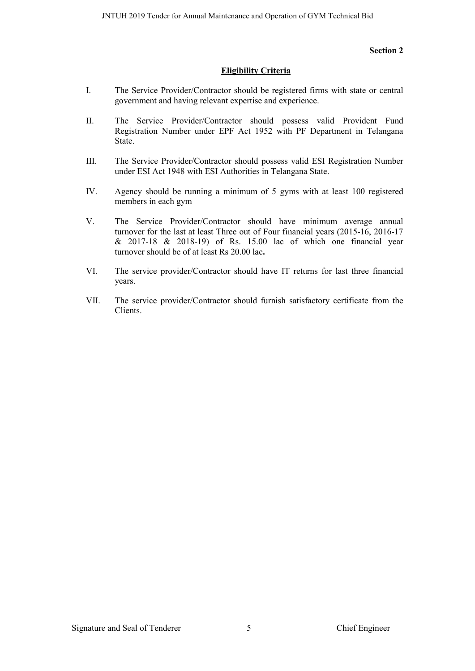#### **Section 2**

#### **Eligibility Criteria**

- I. The Service Provider/Contractor should be registered firms with state or central government and having relevant expertise and experience.
- II. The Service Provider/Contractor should possess valid Provident Fund Registration Number under EPF Act 1952 with PF Department in Telangana State.
- III. The Service Provider/Contractor should possess valid ESI Registration Number under ESI Act 1948 with ESI Authorities in Telangana State.
- IV. Agency should be running a minimum of 5 gyms with at least 100 registered members in each gym
- V. The Service Provider/Contractor should have minimum average annual turnover for the last at least Three out of Four financial years (2015-16, 2016-17 & 2017-18 & 2018-19) of Rs. 15.00 lac of which one financial year turnover should be of at least Rs 20.00 lac**.**
- VI. The service provider/Contractor should have IT returns for last three financial years.
- VII. The service provider/Contractor should furnish satisfactory certificate from the Clients.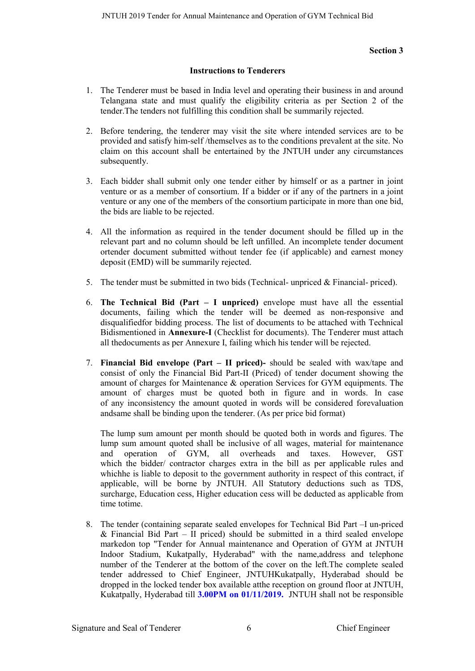#### **Section 3**

#### **Instructions to Tenderers**

- 1. The Tenderer must be based in India level and operating their business in and around Telangana state and must qualify the eligibility criteria as per Section 2 of the tender.The tenders not fulfilling this condition shall be summarily rejected.
- 2. Before tendering, the tenderer may visit the site where intended services are to be provided and satisfy him-self /themselves as to the conditions prevalent at the site. No claim on this account shall be entertained by the JNTUH under any circumstances subsequently.
- 3. Each bidder shall submit only one tender either by himself or as a partner in joint venture or as a member of consortium. If a bidder or if any of the partners in a joint venture or any one of the members of the consortium participate in more than one bid, the bids are liable to be rejected.
- 4. All the information as required in the tender document should be filled up in the relevant part and no column should be left unfilled. An incomplete tender document ortender document submitted without tender fee (if applicable) and earnest money deposit (EMD) will be summarily rejected.
- 5. The tender must be submitted in two bids (Technical- unpriced & Financial- priced).
- 6. **The Technical Bid (Part – I unpriced)** envelope must have all the essential documents, failing which the tender will be deemed as non-responsive and disqualifiedfor bidding process. The list of documents to be attached with Technical Bidismentioned in **Annexure-I** (Checklist for documents). The Tenderer must attach all thedocuments as per Annexure I, failing which his tender will be rejected.
- 7. **Financial Bid envelope (Part – II priced)-** should be sealed with wax/tape and consist of only the Financial Bid Part-II (Priced) of tender document showing the amount of charges for Maintenance & operation Services for GYM equipments. The amount of charges must be quoted both in figure and in words. In case of any inconsistency the amount quoted in words will be considered forevaluation andsame shall be binding upon the tenderer. (As per price bid format)

The lump sum amount per month should be quoted both in words and figures. The lump sum amount quoted shall be inclusive of all wages, material for maintenance and operation of GYM, all overheads and taxes. However, GST which the bidder/ contractor charges extra in the bill as per applicable rules and whichhe is liable to deposit to the government authority in respect of this contract, if applicable, will be borne by JNTUH. All Statutory deductions such as TDS, surcharge, Education cess, Higher education cess will be deducted as applicable from time totime.

8. The tender (containing separate sealed envelopes for Technical Bid Part –I un-priced & Financial Bid Part – II priced) should be submitted in a third sealed envelope markedon top "Tender for Annual maintenance and Operation of GYM at JNTUH Indoor Stadium, Kukatpally, Hyderabad" with the name,address and telephone number of the Tenderer at the bottom of the cover on the left.The complete sealed tender addressed to Chief Engineer, JNTUHKukatpally, Hyderabad should be dropped in the locked tender box available atthe reception on ground floor at JNTUH, Kukatpally, Hyderabad till **3.00PM on 01/11/2019.** JNTUH shall not be responsible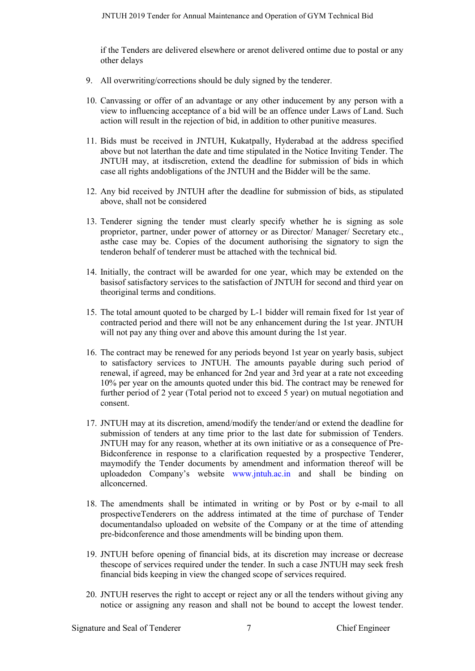if the Tenders are delivered elsewhere or arenot delivered ontime due to postal or any other delays

- 9. All overwriting/corrections should be duly signed by the tenderer.
- 10. Canvassing or offer of an advantage or any other inducement by any person with a view to influencing acceptance of a bid will be an offence under Laws of Land. Such action will result in the rejection of bid, in addition to other punitive measures.
- 11. Bids must be received in JNTUH, Kukatpally, Hyderabad at the address specified above but not laterthan the date and time stipulated in the Notice Inviting Tender. The JNTUH may, at itsdiscretion, extend the deadline for submission of bids in which case all rights andobligations of the JNTUH and the Bidder will be the same.
- 12. Any bid received by JNTUH after the deadline for submission of bids, as stipulated above, shall not be considered
- 13. Tenderer signing the tender must clearly specify whether he is signing as sole proprietor, partner, under power of attorney or as Director/ Manager/ Secretary etc., asthe case may be. Copies of the document authorising the signatory to sign the tenderon behalf of tenderer must be attached with the technical bid.
- 14. Initially, the contract will be awarded for one year, which may be extended on the basisof satisfactory services to the satisfaction of JNTUH for second and third year on theoriginal terms and conditions.
- 15. The total amount quoted to be charged by L-1 bidder will remain fixed for 1st year of contracted period and there will not be any enhancement during the 1st year. JNTUH will not pay any thing over and above this amount during the 1st year.
- 16. The contract may be renewed for any periods beyond 1st year on yearly basis, subject to satisfactory services to JNTUH. The amounts payable during such period of renewal, if agreed, may be enhanced for 2nd year and 3rd year at a rate not exceeding 10% per year on the amounts quoted under this bid. The contract may be renewed for further period of 2 year (Total period not to exceed 5 year) on mutual negotiation and consent.
- 17. JNTUH may at its discretion, amend/modify the tender/and or extend the deadline for submission of tenders at any time prior to the last date for submission of Tenders. JNTUH may for any reason, whether at its own initiative or as a consequence of Pre-Bidconference in response to a clarification requested by a prospective Tenderer, maymodify the Tender documents by amendment and information thereof will be uploadedon Company's website www.jntuh.ac.in and shall be binding on allconcerned.
- 18. The amendments shall be intimated in writing or by Post or by e-mail to all prospectiveTenderers on the address intimated at the time of purchase of Tender documentandalso uploaded on website of the Company or at the time of attending pre-bidconference and those amendments will be binding upon them.
- 19. JNTUH before opening of financial bids, at its discretion may increase or decrease thescope of services required under the tender. In such a case JNTUH may seek fresh financial bids keeping in view the changed scope of services required.
- 20. JNTUH reserves the right to accept or reject any or all the tenders without giving any notice or assigning any reason and shall not be bound to accept the lowest tender.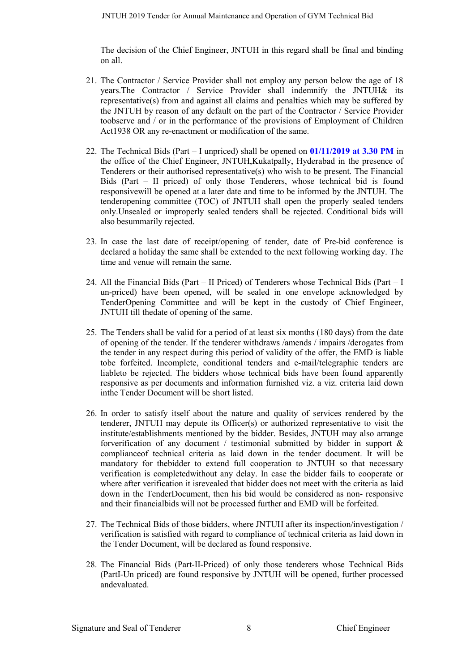The decision of the Chief Engineer, JNTUH in this regard shall be final and binding on all.

- 21. The Contractor / Service Provider shall not employ any person below the age of 18 years.The Contractor / Service Provider shall indemnify the JNTUH& its representative(s) from and against all claims and penalties which may be suffered by the JNTUH by reason of any default on the part of the Contractor / Service Provider toobserve and / or in the performance of the provisions of Employment of Children Act1938 OR any re-enactment or modification of the same.
- 22. The Technical Bids (Part I unpriced) shall be opened on **01/11/2019 at 3.30 PM** in the office of the Chief Engineer, JNTUH,Kukatpally, Hyderabad in the presence of Tenderers or their authorised representative(s) who wish to be present. The Financial Bids (Part – II priced) of only those Tenderers, whose technical bid is found responsivewill be opened at a later date and time to be informed by the JNTUH. The tenderopening committee (TOC) of JNTUH shall open the properly sealed tenders only.Unsealed or improperly sealed tenders shall be rejected. Conditional bids will also besummarily rejected.
- 23. In case the last date of receipt/opening of tender, date of Pre-bid conference is declared a holiday the same shall be extended to the next following working day. The time and venue will remain the same.
- 24. All the Financial Bids (Part II Priced) of Tenderers whose Technical Bids (Part I un-priced) have been opened, will be sealed in one envelope acknowledged by TenderOpening Committee and will be kept in the custody of Chief Engineer, JNTUH till thedate of opening of the same.
- 25. The Tenders shall be valid for a period of at least six months (180 days) from the date of opening of the tender. If the tenderer withdraws /amends / impairs /derogates from the tender in any respect during this period of validity of the offer, the EMD is liable tobe forfeited. Incomplete, conditional tenders and e-mail/telegraphic tenders are liableto be rejected. The bidders whose technical bids have been found apparently responsive as per documents and information furnished viz. a viz. criteria laid down inthe Tender Document will be short listed.
- 26. In order to satisfy itself about the nature and quality of services rendered by the tenderer, JNTUH may depute its Officer(s) or authorized representative to visit the institute/establishments mentioned by the bidder. Besides, JNTUH may also arrange forverification of any document / testimonial submitted by bidder in support  $\&$ complianceof technical criteria as laid down in the tender document. It will be mandatory for thebidder to extend full cooperation to JNTUH so that necessary verification is completedwithout any delay. In case the bidder fails to cooperate or where after verification it isrevealed that bidder does not meet with the criteria as laid down in the TenderDocument, then his bid would be considered as non- responsive and their financialbids will not be processed further and EMD will be forfeited.
- 27. The Technical Bids of those bidders, where JNTUH after its inspection/investigation / verification is satisfied with regard to compliance of technical criteria as laid down in the Tender Document, will be declared as found responsive.
- 28. The Financial Bids (Part-II-Priced) of only those tenderers whose Technical Bids (PartI-Un priced) are found responsive by JNTUH will be opened, further processed andevaluated.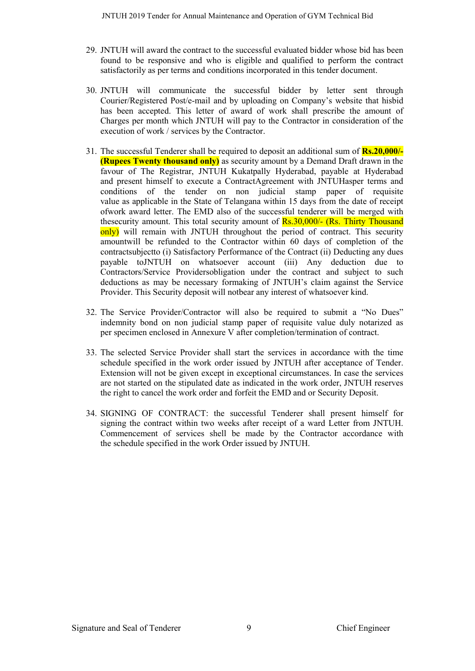- 29. JNTUH will award the contract to the successful evaluated bidder whose bid has been found to be responsive and who is eligible and qualified to perform the contract satisfactorily as per terms and conditions incorporated in this tender document.
- 30. JNTUH will communicate the successful bidder by letter sent through Courier/Registered Post/e-mail and by uploading on Company's website that hisbid has been accepted. This letter of award of work shall prescribe the amount of Charges per month which JNTUH will pay to the Contractor in consideration of the execution of work / services by the Contractor.
- 31. The successful Tenderer shall be required to deposit an additional sum of **Rs.20,000/- (Rupees Twenty thousand only)** as security amount by a Demand Draft drawn in the favour of The Registrar, JNTUH Kukatpally Hyderabad, payable at Hyderabad and present himself to execute a ContractAgreement with JNTUHasper terms and conditions of the tender on non judicial stamp paper of requisite value as applicable in the State of Telangana within 15 days from the date of receipt ofwork award letter. The EMD also of the successful tenderer will be merged with thesecurity amount. This total security amount of Rs.30,000/- (Rs. Thirty Thousand only) will remain with JNTUH throughout the period of contract. This security amountwill be refunded to the Contractor within 60 days of completion of the contractsubjectto (i) Satisfactory Performance of the Contract (ii) Deducting any dues payable toJNTUH on whatsoever account (iii) Any deduction due to Contractors/Service Providersobligation under the contract and subject to such deductions as may be necessary formaking of JNTUH's claim against the Service Provider. This Security deposit will notbear any interest of whatsoever kind.
- 32. The Service Provider/Contractor will also be required to submit a "No Dues" indemnity bond on non judicial stamp paper of requisite value duly notarized as per specimen enclosed in Annexure V after completion/termination of contract.
- 33. The selected Service Provider shall start the services in accordance with the time schedule specified in the work order issued by JNTUH after acceptance of Tender. Extension will not be given except in exceptional circumstances. In case the services are not started on the stipulated date as indicated in the work order, JNTUH reserves the right to cancel the work order and forfeit the EMD and or Security Deposit.
- 34. SIGNING OF CONTRACT: the successful Tenderer shall present himself for signing the contract within two weeks after receipt of a ward Letter from JNTUH. Commencement of services shell be made by the Contractor accordance with the schedule specified in the work Order issued by JNTUH.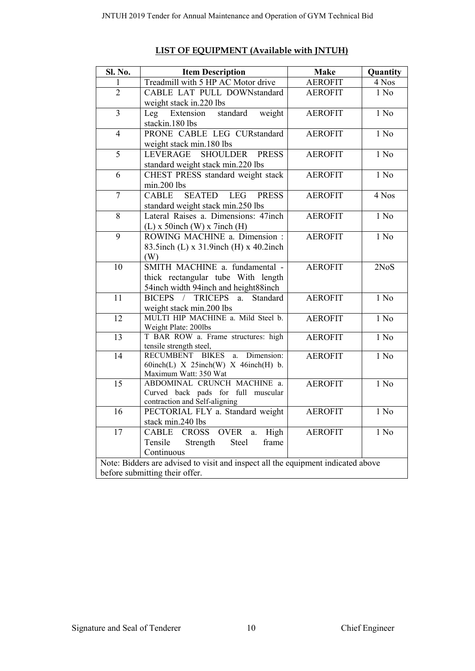| <b>Sl. No.</b>  | <b>Item Description</b>                                                            | <b>Make</b>    | Quantity                   |
|-----------------|------------------------------------------------------------------------------------|----------------|----------------------------|
| 1               | Treadmill with 5 HP AC Motor drive                                                 | <b>AEROFIT</b> | 4 Nos                      |
| $\overline{2}$  | CABLE LAT PULL DOWNstandard                                                        | <b>AEROFIT</b> | $1$ No                     |
|                 | weight stack in 220 lbs                                                            |                |                            |
| $\overline{3}$  | standard<br>weight<br>Leg<br>Extension                                             | <b>AEROFIT</b> | 1 N <sub>0</sub>           |
|                 | stackin.180 lbs                                                                    |                |                            |
| $\overline{4}$  | PRONE CABLE LEG CURstandard                                                        | <b>AEROFIT</b> | $1$ No                     |
|                 | weight stack min.180 lbs                                                           |                |                            |
| $\overline{5}$  | <b>LEVERAGE</b><br><b>SHOULDER</b><br><b>PRESS</b>                                 | <b>AEROFIT</b> | $1$ No                     |
|                 | standard weight stack min.220 lbs                                                  |                |                            |
| $\overline{6}$  | CHEST PRESS standard weight stack                                                  | <b>AEROFIT</b> | $1$ No                     |
|                 | min.200 lbs                                                                        |                |                            |
| $\overline{7}$  | <b>SEATED</b><br><b>LEG</b><br><b>CABLE</b><br><b>PRESS</b>                        | <b>AEROFIT</b> | $\overline{4 \text{ Nos}}$ |
|                 | standard weight stack min.250 lbs                                                  |                |                            |
| $\overline{8}$  | Lateral Raises a. Dimensions: 47inch                                               | <b>AEROFIT</b> | $1$ No                     |
|                 | $(L)$ x 50inch $(W)$ x 7inch $(H)$                                                 |                |                            |
| 9               | ROWING MACHINE a. Dimension:                                                       | <b>AEROFIT</b> | 1 No                       |
|                 | 83.5inch (L) x 31.9inch (H) x 40.2inch                                             |                |                            |
|                 | (W)                                                                                |                |                            |
| $\overline{10}$ | SMITH MACHINE a. fundamental -                                                     | <b>AEROFIT</b> | 2NoS                       |
|                 | thick rectangular tube With length                                                 |                |                            |
|                 | 54inch width 94inch and height88inch                                               |                |                            |
| $\overline{11}$ | BICEPS / TRICEPS<br>Standard<br>a.                                                 | <b>AEROFIT</b> | $1$ No                     |
|                 | weight stack min.200 lbs                                                           |                |                            |
| $\overline{12}$ | MULTI HIP MACHINE a. Mild Steel b.                                                 | <b>AEROFIT</b> | 1 N <sub>0</sub>           |
|                 | Weight Plate: 200lbs                                                               |                |                            |
| $\overline{13}$ | T BAR ROW a. Frame structures: high                                                | <b>AEROFIT</b> | $1$ No                     |
|                 | tensile strength steel,                                                            |                |                            |
| 14              | RECUMBENT BIKES<br>Dimension:<br>a.<br>60inch(L) $X$ 25inch(W) $X$ 46inch(H) $b$ . | <b>AEROFIT</b> | 1 N <sub>0</sub>           |
|                 | Maximum Watt: 350 Wat                                                              |                |                            |
| $\overline{15}$ | ABDOMINAL CRUNCH MACHINE a.                                                        | <b>AEROFIT</b> | $1$ No                     |
|                 | Curved back pads for full muscular                                                 |                |                            |
|                 | contraction and Self-aligning                                                      |                |                            |
| $\overline{16}$ | PECTORIAL FLY a. Standard weight                                                   | <b>AEROFIT</b> | $1$ No                     |
|                 | stack min.240 lbs                                                                  |                |                            |
| 17              | CABLE CROSS OVER<br>High<br>$\mathbf{a}$ .                                         | <b>AEROFIT</b> | 1 No                       |
|                 | Tensile<br>Steel<br>Strength<br>frame                                              |                |                            |
|                 | Continuous                                                                         |                |                            |
|                 | Note: Bidders are advised to visit and inspect all the equipment indicated above   |                |                            |
|                 | before submitting their offer.                                                     |                |                            |

# **LIST OF EQUIPMENT (Available with JNTUH)**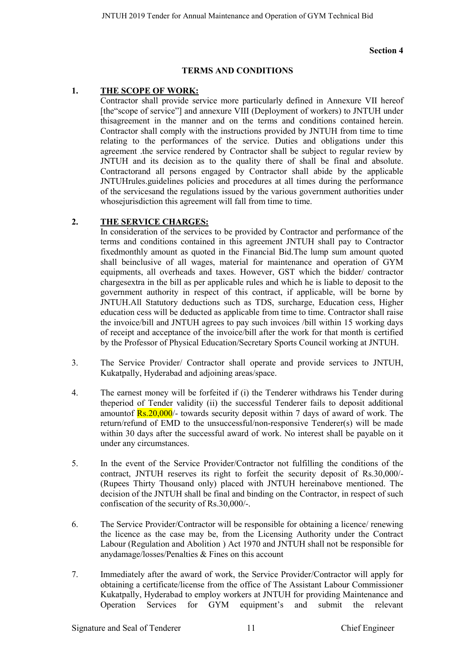#### **Section 4**

#### **TERMS AND CONDITIONS**

#### **1. THE SCOPE OF WORK:**

Contractor shall provide service more particularly defined in Annexure VII hereof [the"scope of service"] and annexure VIII (Deployment of workers) to JNTUH under thisagreement in the manner and on the terms and conditions contained herein. Contractor shall comply with the instructions provided by JNTUH from time to time relating to the performances of the service. Duties and obligations under this agreement .the service rendered by Contractor shall be subject to regular review by JNTUH and its decision as to the quality there of shall be final and absolute. Contractorand all persons engaged by Contractor shall abide by the applicable JNTUHrules.guidelines policies and procedures at all times during the performance of the servicesand the regulations issued by the various government authorities under whose jurisdiction this agreement will fall from time to time.

#### **2. THE SERVICE CHARGES:**

In consideration of the services to be provided by Contractor and performance of the terms and conditions contained in this agreement JNTUH shall pay to Contractor fixedmonthly amount as quoted in the Financial Bid.The lump sum amount quoted shall beinclusive of all wages, material for maintenance and operation of GYM equipments, all overheads and taxes. However, GST which the bidder/ contractor chargesextra in the bill as per applicable rules and which he is liable to deposit to the government authority in respect of this contract, if applicable, will be borne by JNTUH.All Statutory deductions such as TDS, surcharge, Education cess, Higher education cess will be deducted as applicable from time to time. Contractor shall raise the invoice/bill and JNTUH agrees to pay such invoices /bill within 15 working days of receipt and acceptance of the invoice/bill after the work for that month is certified by the Professor of Physical Education/Secretary Sports Council working at JNTUH.

- 3. The Service Provider/ Contractor shall operate and provide services to JNTUH, Kukatpally, Hyderabad and adjoining areas/space.
- 4. The earnest money will be forfeited if (i) the Tenderer withdraws his Tender during theperiod of Tender validity (ii) the successful Tenderer fails to deposit additional amountof  $\frac{Rs.20,000}{\cdot}$  towards security deposit within 7 days of award of work. The return/refund of EMD to the unsuccessful/non-responsive Tenderer(s) will be made within 30 days after the successful award of work. No interest shall be payable on it under any circumstances.
- 5. In the event of the Service Provider/Contractor not fulfilling the conditions of the contract, JNTUH reserves its right to forfeit the security deposit of Rs.30,000/- (Rupees Thirty Thousand only) placed with JNTUH hereinabove mentioned. The decision of the JNTUH shall be final and binding on the Contractor, in respect of such confiscation of the security of Rs.30,000/-.
- 6. The Service Provider/Contractor will be responsible for obtaining a licence/ renewing the licence as the case may be, from the Licensing Authority under the Contract Labour (Regulation and Abolition ) Act 1970 and JNTUH shall not be responsible for anydamage/losses/Penalties & Fines on this account
- 7. Immediately after the award of work, the Service Provider/Contractor will apply for obtaining a certificate/license from the office of The Assistant Labour Commissioner Kukatpally, Hyderabad to employ workers at JNTUH for providing Maintenance and Operation Services for GYM equipment's and submit the relevant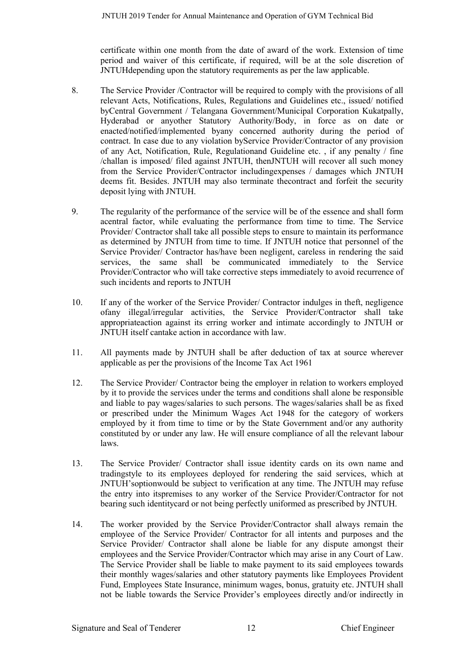certificate within one month from the date of award of the work. Extension of time period and waiver of this certificate, if required, will be at the sole discretion of JNTUHdepending upon the statutory requirements as per the law applicable.

- 8. The Service Provider /Contractor will be required to comply with the provisions of all relevant Acts, Notifications, Rules, Regulations and Guidelines etc., issued/ notified byCentral Government / Telangana Government/Municipal Corporation Kukatpally, Hyderabad or anyother Statutory Authority/Body, in force as on date or enacted/notified/implemented byany concerned authority during the period of contract. In case due to any violation byService Provider/Contractor of any provision of any Act, Notification, Rule, Regulationand Guideline etc. , if any penalty / fine /challan is imposed/ filed against JNTUH, thenJNTUH will recover all such money from the Service Provider/Contractor includingexpenses / damages which JNTUH deems fit. Besides. JNTUH may also terminate thecontract and forfeit the security deposit lying with JNTUH.
- 9. The regularity of the performance of the service will be of the essence and shall form acentral factor, while evaluating the performance from time to time. The Service Provider/ Contractor shall take all possible steps to ensure to maintain its performance as determined by JNTUH from time to time. If JNTUH notice that personnel of the Service Provider/ Contractor has/have been negligent, careless in rendering the said services, the same shall be communicated immediately to the Service Provider/Contractor who will take corrective steps immediately to avoid recurrence of such incidents and reports to JNTUH
- 10. If any of the worker of the Service Provider/ Contractor indulges in theft, negligence ofany illegal/irregular activities, the Service Provider/Contractor shall take appropriateaction against its erring worker and intimate accordingly to JNTUH or JNTUH itself cantake action in accordance with law.
- 11. All payments made by JNTUH shall be after deduction of tax at source wherever applicable as per the provisions of the Income Tax Act 1961
- 12. The Service Provider/ Contractor being the employer in relation to workers employed by it to provide the services under the terms and conditions shall alone be responsible and liable to pay wages/salaries to such persons. The wages/salaries shall be as fixed or prescribed under the Minimum Wages Act 1948 for the category of workers employed by it from time to time or by the State Government and/or any authority constituted by or under any law. He will ensure compliance of all the relevant labour laws.
- 13. The Service Provider/ Contractor shall issue identity cards on its own name and tradingstyle to its employees deployed for rendering the said services, which at JNTUH'soptionwould be subject to verification at any time. The JNTUH may refuse the entry into itspremises to any worker of the Service Provider/Contractor for not bearing such identitycard or not being perfectly uniformed as prescribed by JNTUH.
- 14. The worker provided by the Service Provider/Contractor shall always remain the employee of the Service Provider/ Contractor for all intents and purposes and the Service Provider/ Contractor shall alone be liable for any dispute amongst their employees and the Service Provider/Contractor which may arise in any Court of Law. The Service Provider shall be liable to make payment to its said employees towards their monthly wages/salaries and other statutory payments like Employees Provident Fund, Employees State Insurance, minimum wages, bonus, gratuity etc. JNTUH shall not be liable towards the Service Provider's employees directly and/or indirectly in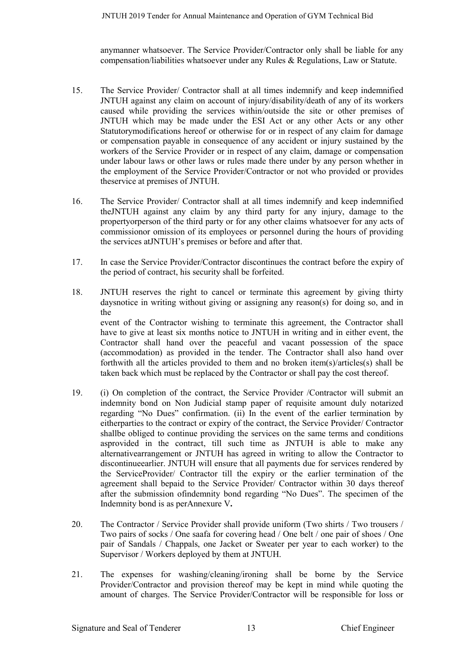anymanner whatsoever. The Service Provider/Contractor only shall be liable for any compensation/liabilities whatsoever under any Rules & Regulations, Law or Statute.

- 15. The Service Provider/ Contractor shall at all times indemnify and keep indemnified JNTUH against any claim on account of injury/disability/death of any of its workers caused while providing the services within/outside the site or other premises of JNTUH which may be made under the ESI Act or any other Acts or any other Statutorymodifications hereof or otherwise for or in respect of any claim for damage or compensation payable in consequence of any accident or injury sustained by the workers of the Service Provider or in respect of any claim, damage or compensation under labour laws or other laws or rules made there under by any person whether in the employment of the Service Provider/Contractor or not who provided or provides theservice at premises of JNTUH.
- 16. The Service Provider/ Contractor shall at all times indemnify and keep indemnified theJNTUH against any claim by any third party for any injury, damage to the propertyorperson of the third party or for any other claims whatsoever for any acts of commissionor omission of its employees or personnel during the hours of providing the services atJNTUH's premises or before and after that.
- 17. In case the Service Provider/Contractor discontinues the contract before the expiry of the period of contract, his security shall be forfeited.
- 18. JNTUH reserves the right to cancel or terminate this agreement by giving thirty daysnotice in writing without giving or assigning any reason(s) for doing so, and in the event of the Contractor wishing to terminate this agreement, the Contractor shall have to give at least six months notice to JNTUH in writing and in either event, the Contractor shall hand over the peaceful and vacant possession of the space (accommodation) as provided in the tender. The Contractor shall also hand over forthwith all the articles provided to them and no broken item(s)/articles(s) shall be taken back which must be replaced by the Contractor or shall pay the cost thereof.
- 19. (i) On completion of the contract, the Service Provider /Contractor will submit an indemnity bond on Non Judicial stamp paper of requisite amount duly notarized regarding "No Dues" confirmation. (ii) In the event of the earlier termination by eitherparties to the contract or expiry of the contract, the Service Provider/ Contractor shallbe obliged to continue providing the services on the same terms and conditions asprovided in the contract, till such time as JNTUH is able to make any alternativearrangement or JNTUH has agreed in writing to allow the Contractor to discontinueearlier. JNTUH will ensure that all payments due for services rendered by the ServiceProvider/ Contractor till the expiry or the earlier termination of the agreement shall bepaid to the Service Provider/ Contractor within 30 days thereof after the submission ofindemnity bond regarding "No Dues". The specimen of the Indemnity bond is as perAnnexure V**.**
- 20. The Contractor / Service Provider shall provide uniform (Two shirts / Two trousers / Two pairs of socks / One saafa for covering head / One belt / one pair of shoes / One pair of Sandals / Chappals, one Jacket or Sweater per year to each worker) to the Supervisor / Workers deployed by them at JNTUH.
- 21. The expenses for washing/cleaning/ironing shall be borne by the Service Provider/Contractor and provision thereof may be kept in mind while quoting the amount of charges. The Service Provider/Contractor will be responsible for loss or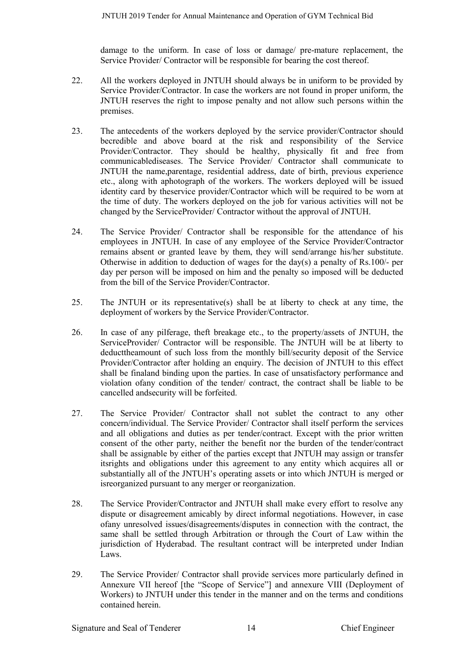damage to the uniform. In case of loss or damage/ pre-mature replacement, the Service Provider/ Contractor will be responsible for bearing the cost thereof.

- 22. All the workers deployed in JNTUH should always be in uniform to be provided by Service Provider/Contractor. In case the workers are not found in proper uniform, the JNTUH reserves the right to impose penalty and not allow such persons within the premises.
- 23. The antecedents of the workers deployed by the service provider/Contractor should becredible and above board at the risk and responsibility of the Service Provider/Contractor. They should be healthy, physically fit and free from communicablediseases. The Service Provider/ Contractor shall communicate to JNTUH the name,parentage, residential address, date of birth, previous experience etc., along with aphotograph of the workers. The workers deployed will be issued identity card by theservice provider/Contractor which will be required to be worn at the time of duty. The workers deployed on the job for various activities will not be changed by the ServiceProvider/ Contractor without the approval of JNTUH.
- 24. The Service Provider/ Contractor shall be responsible for the attendance of his employees in JNTUH. In case of any employee of the Service Provider/Contractor remains absent or granted leave by them, they will send/arrange his/her substitute. Otherwise in addition to deduction of wages for the day(s) a penalty of Rs.100/- per day per person will be imposed on him and the penalty so imposed will be deducted from the bill of the Service Provider/Contractor.
- 25. The JNTUH or its representative(s) shall be at liberty to check at any time, the deployment of workers by the Service Provider/Contractor.
- 26. In case of any pilferage, theft breakage etc., to the property/assets of JNTUH, the ServiceProvider/ Contractor will be responsible. The JNTUH will be at liberty to deducttheamount of such loss from the monthly bill/security deposit of the Service Provider/Contractor after holding an enquiry. The decision of JNTUH to this effect shall be finaland binding upon the parties. In case of unsatisfactory performance and violation ofany condition of the tender/ contract, the contract shall be liable to be cancelled andsecurity will be forfeited.
- 27. The Service Provider/ Contractor shall not sublet the contract to any other concern/individual. The Service Provider/ Contractor shall itself perform the services and all obligations and duties as per tender/contract. Except with the prior written consent of the other party, neither the benefit nor the burden of the tender/contract shall be assignable by either of the parties except that JNTUH may assign or transfer itsrights and obligations under this agreement to any entity which acquires all or substantially all of the JNTUH's operating assets or into which JNTUH is merged or isreorganized pursuant to any merger or reorganization.
- 28. The Service Provider/Contractor and JNTUH shall make every effort to resolve any dispute or disagreement amicably by direct informal negotiations. However, in case ofany unresolved issues/disagreements/disputes in connection with the contract, the same shall be settled through Arbitration or through the Court of Law within the jurisdiction of Hyderabad. The resultant contract will be interpreted under Indian Laws.
- 29. The Service Provider/ Contractor shall provide services more particularly defined in Annexure VII hereof [the "Scope of Service"] and annexure VIII (Deployment of Workers) to JNTUH under this tender in the manner and on the terms and conditions contained herein.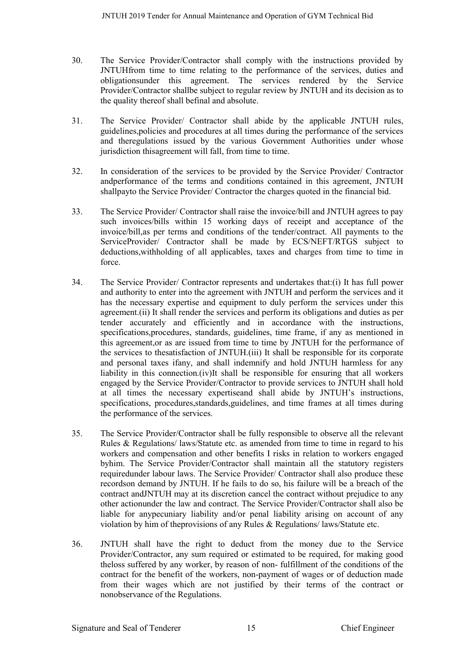- 30. The Service Provider/Contractor shall comply with the instructions provided by JNTUHfrom time to time relating to the performance of the services, duties and obligationsunder this agreement. The services rendered by the Service Provider/Contractor shallbe subject to regular review by JNTUH and its decision as to the quality thereof shall befinal and absolute.
- 31. The Service Provider/ Contractor shall abide by the applicable JNTUH rules, guidelines,policies and procedures at all times during the performance of the services and theregulations issued by the various Government Authorities under whose jurisdiction thisagreement will fall, from time to time.
- 32. In consideration of the services to be provided by the Service Provider/ Contractor andperformance of the terms and conditions contained in this agreement, JNTUH shallpayto the Service Provider/ Contractor the charges quoted in the financial bid.
- 33. The Service Provider/ Contractor shall raise the invoice/bill and JNTUH agrees to pay such invoices/bills within 15 working days of receipt and acceptance of the invoice/bill,as per terms and conditions of the tender/contract. All payments to the ServiceProvider/ Contractor shall be made by ECS/NEFT/RTGS subject to deductions,withholding of all applicables, taxes and charges from time to time in force.
- 34. The Service Provider/ Contractor represents and undertakes that:(i) It has full power and authority to enter into the agreement with JNTUH and perform the services and it has the necessary expertise and equipment to duly perform the services under this agreement.(ii) It shall render the services and perform its obligations and duties as per tender accurately and efficiently and in accordance with the instructions, specifications,procedures, standards, guidelines, time frame, if any as mentioned in this agreement,or as are issued from time to time by JNTUH for the performance of the services to thesatisfaction of JNTUH.(iii) It shall be responsible for its corporate and personal taxes ifany, and shall indemnify and hold JNTUH harmless for any liability in this connection.(iv)It shall be responsible for ensuring that all workers engaged by the Service Provider/Contractor to provide services to JNTUH shall hold at all times the necessary expertiseand shall abide by JNTUH's instructions, specifications, procedures,standards,guidelines, and time frames at all times during the performance of the services.
- 35. The Service Provider/Contractor shall be fully responsible to observe all the relevant Rules & Regulations/ laws/Statute etc. as amended from time to time in regard to his workers and compensation and other benefits I risks in relation to workers engaged byhim. The Service Provider/Contractor shall maintain all the statutory registers requiredunder labour laws. The Service Provider/ Contractor shall also produce these recordson demand by JNTUH. If he fails to do so, his failure will be a breach of the contract andJNTUH may at its discretion cancel the contract without prejudice to any other actionunder the law and contract. The Service Provider/Contractor shall also be liable for anypecuniary liability and/or penal liability arising on account of any violation by him of theprovisions of any Rules & Regulations/ laws/Statute etc.
- 36. JNTUH shall have the right to deduct from the money due to the Service Provider/Contractor, any sum required or estimated to be required, for making good theloss suffered by any worker, by reason of non- fulfillment of the conditions of the contract for the benefit of the workers, non-payment of wages or of deduction made from their wages which are not justified by their terms of the contract or nonobservance of the Regulations.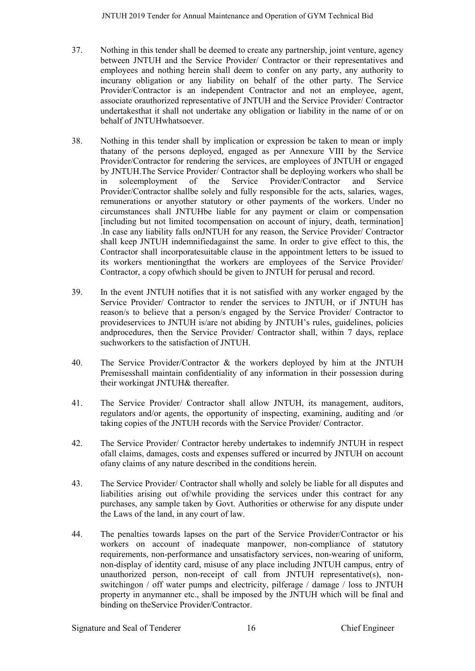- 37. Nothing in this tender shall be deemed to create any partnership, joint venture, agency between JNTUH and the Service Provider/ Contractor or their representatives and employees and nothing herein shall deem to confer on any party, any authority to incurany obligation or any liability on behalf of the other party. The Service Provider/Contractor is an independent Contractor and not an employee, agent, associate orauthorized representative of JNTUH and the Service Provider/ Contractor undertakesthat it shall not undertake any obligation or liability in the name of or on behalf of JNTUHwhatsoever.
- 38. Nothing in this tender shall by implication or expression be taken to mean or imply thatany of the persons deployed, engaged as per Annexure VIII by the Service Provider/Contractor for rendering the services, are employees of JNTUH or engaged by JNTUH.The Service Provider/ Contractor shall be deploying workers who shall be in soleemployment of the Service Provider/Contractor and Service Provider/Contractor shallbe solely and fully responsible for the acts, salaries, wages, remunerations or anyother statutory or other payments of the workers. Under no circumstances shall JNTUHbe liable for any payment or claim or compensation [including but not limited tocompensation on account of injury, death, termination] .In case any liability falls onJNTUH for any reason, the Service Provider/ Contractor shall keep JNTUH indemnifiedagainst the same. In order to give effect to this, the Contractor shall incorporatesuitable clause in the appointment letters to be issued to its workers mentioningthat the workers are employees of the Service Provider/ Contractor, a copy ofwhich should be given to JNTUH for perusal and record.
- 39. In the event JNTUH notifies that it is not satisfied with any worker engaged by the Service Provider/ Contractor to render the services to JNTUH, or if JNTUH has reason/s to believe that a person/s engaged by the Service Provider/ Contractor to provideservices to JNTUH is/are not abiding by JNTUH's rules, guidelines, policies andprocedures, then the Service Provider/ Contractor shall, within 7 days, replace suchworkers to the satisfaction of JNTUH.
- 40. The Service Provider/Contractor & the workers deployed by him at the JNTUH Premisesshall maintain confidentiality of any information in their possession during their workingat JNTUH& thereafter.
- 41. The Service Provider/ Contractor shall allow JNTUH, its management, auditors, regulators and/or agents, the opportunity of inspecting, examining, auditing and /or taking copies of the JNTUH records with the Service Provider/ Contractor.
- 42. The Service Provider/ Contractor hereby undertakes to indemnify JNTUH in respect ofall claims, damages, costs and expenses suffered or incurred by JNTUH on account ofany claims of any nature described in the conditions herein.
- 43. The Service Provider/ Contractor shall wholly and solely be liable for all disputes and liabilities arising out of/while providing the services under this contract for any purchases, any sample taken by Govt. Authorities or otherwise for any dispute under the Laws of the land, in any court of law.
- 44. The penalties towards lapses on the part of the Service Provider/Contractor or his workers on account of inadequate manpower, non-compliance of statutory requirements, non-performance and unsatisfactory services, non-wearing of uniform, non-display of identity card, misuse of any place including JNTUH campus, entry of unauthorized person, non-receipt of call from JNTUH representative(s), nonswitchingon / off water pumps and electricity, pilferage / damage / loss to JNTUH property in anymanner etc., shall be imposed by the JNTUH which will be final and binding on theService Provider/Contractor.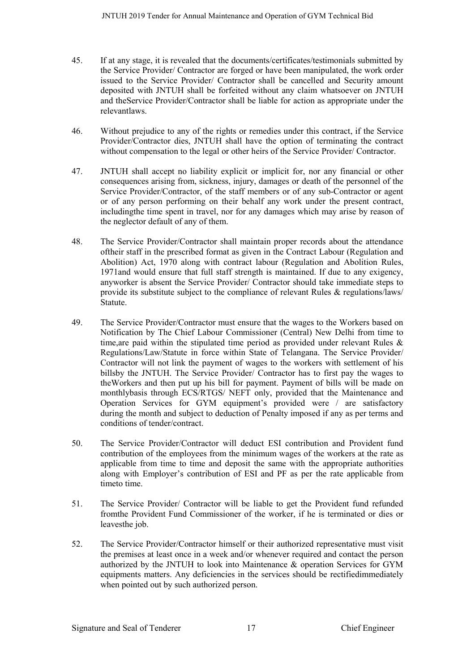- 45. If at any stage, it is revealed that the documents/certificates/testimonials submitted by the Service Provider/ Contractor are forged or have been manipulated, the work order issued to the Service Provider/ Contractor shall be cancelled and Security amount deposited with JNTUH shall be forfeited without any claim whatsoever on JNTUH and theService Provider/Contractor shall be liable for action as appropriate under the relevantlaws.
- 46. Without prejudice to any of the rights or remedies under this contract, if the Service Provider/Contractor dies, JNTUH shall have the option of terminating the contract without compensation to the legal or other heirs of the Service Provider/ Contractor.
- 47. JNTUH shall accept no liability explicit or implicit for, nor any financial or other consequences arising from, sickness, injury, damages or death of the personnel of the Service Provider/Contractor, of the staff members or of any sub-Contractor or agent or of any person performing on their behalf any work under the present contract, includingthe time spent in travel, nor for any damages which may arise by reason of the neglector default of any of them.
- 48. The Service Provider/Contractor shall maintain proper records about the attendance oftheir staff in the prescribed format as given in the Contract Labour (Regulation and Abolition) Act, 1970 along with contract labour (Regulation and Abolition Rules, 1971and would ensure that full staff strength is maintained. If due to any exigency, anyworker is absent the Service Provider/ Contractor should take immediate steps to provide its substitute subject to the compliance of relevant Rules  $\&$  regulations/laws/ Statute.
- 49. The Service Provider/Contractor must ensure that the wages to the Workers based on Notification by The Chief Labour Commissioner (Central) New Delhi from time to time,are paid within the stipulated time period as provided under relevant Rules & Regulations/Law/Statute in force within State of Telangana. The Service Provider/ Contractor will not link the payment of wages to the workers with settlement of his billsby the JNTUH. The Service Provider/ Contractor has to first pay the wages to theWorkers and then put up his bill for payment. Payment of bills will be made on monthlybasis through ECS/RTGS/ NEFT only, provided that the Maintenance and Operation Services for GYM equipment's provided were / are satisfactory during the month and subject to deduction of Penalty imposed if any as per terms and conditions of tender/contract.
- 50. The Service Provider/Contractor will deduct ESI contribution and Provident fund contribution of the employees from the minimum wages of the workers at the rate as applicable from time to time and deposit the same with the appropriate authorities along with Employer's contribution of ESI and PF as per the rate applicable from timeto time.
- 51. The Service Provider/ Contractor will be liable to get the Provident fund refunded fromthe Provident Fund Commissioner of the worker, if he is terminated or dies or leavesthe job.
- 52. The Service Provider/Contractor himself or their authorized representative must visit the premises at least once in a week and/or whenever required and contact the person authorized by the JNTUH to look into Maintenance & operation Services for GYM equipments matters. Any deficiencies in the services should be rectifiedimmediately when pointed out by such authorized person.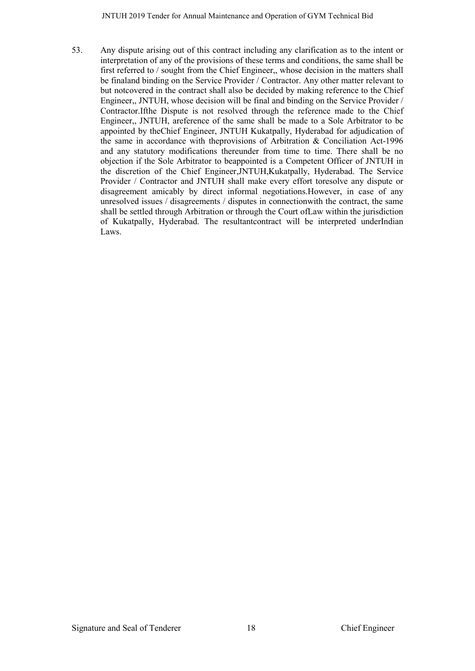53. Any dispute arising out of this contract including any clarification as to the intent or interpretation of any of the provisions of these terms and conditions, the same shall be first referred to / sought from the Chief Engineer,, whose decision in the matters shall be finaland binding on the Service Provider / Contractor. Any other matter relevant to but notcovered in the contract shall also be decided by making reference to the Chief Engineer,, JNTUH, whose decision will be final and binding on the Service Provider / Contractor.Ifthe Dispute is not resolved through the reference made to the Chief Engineer,, JNTUH, areference of the same shall be made to a Sole Arbitrator to be appointed by theChief Engineer, JNTUH Kukatpally, Hyderabad for adjudication of the same in accordance with theprovisions of Arbitration & Conciliation Act-1996 and any statutory modifications thereunder from time to time. There shall be no objection if the Sole Arbitrator to beappointed is a Competent Officer of JNTUH in the discretion of the Chief Engineer,JNTUH,Kukatpally, Hyderabad. The Service Provider / Contractor and JNTUH shall make every effort toresolve any dispute or disagreement amicably by direct informal negotiations.However, in case of any unresolved issues / disagreements / disputes in connectionwith the contract, the same shall be settled through Arbitration or through the Court ofLaw within the jurisdiction of Kukatpally, Hyderabad. The resultantcontract will be interpreted underIndian Laws.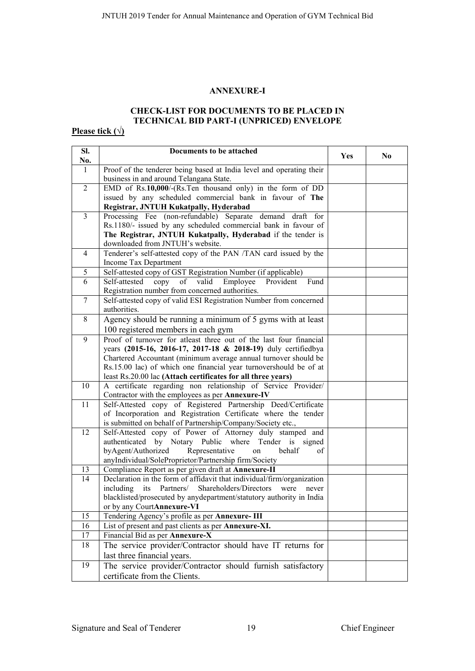#### **ANNEXURE-I**

# **CHECK-LIST FOR DOCUMENTS TO BE PLACED IN TECHNICAL BID PART-I (UNPRICED) ENVELOPE**

# **Please tick (√)**

| SI.<br>No.     | Documents to be attached                                                                                                      | Yes | N <sub>0</sub> |
|----------------|-------------------------------------------------------------------------------------------------------------------------------|-----|----------------|
| 1              | Proof of the tenderer being based at India level and operating their                                                          |     |                |
|                | business in and around Telangana State.                                                                                       |     |                |
| $\overline{2}$ | EMD of Rs.10,000/-(Rs.Ten thousand only) in the form of DD                                                                    |     |                |
|                | issued by any scheduled commercial bank in favour of The                                                                      |     |                |
|                | Registrar, JNTUH Kukatpally, Hyderabad                                                                                        |     |                |
| $\overline{3}$ | Processing Fee (non-refundable) Separate demand draft for                                                                     |     |                |
|                | Rs.1180/- issued by any scheduled commercial bank in favour of                                                                |     |                |
|                | The Registrar, JNTUH Kukatpally, Hyderabad if the tender is                                                                   |     |                |
|                | downloaded from JNTUH's website.                                                                                              |     |                |
| $\overline{4}$ | Tenderer's self-attested copy of the PAN /TAN card issued by the                                                              |     |                |
| 5              | Income Tax Department<br>Self-attested copy of GST Registration Number (if applicable)                                        |     |                |
| 6              | of<br>valid<br>Employee<br>Self-attested<br>copy<br>Provident<br>Fund                                                         |     |                |
|                | Registration number from concerned authorities.                                                                               |     |                |
| $\tau$         | Self-attested copy of valid ESI Registration Number from concerned                                                            |     |                |
|                | authorities.                                                                                                                  |     |                |
| 8              | Agency should be running a minimum of 5 gyms with at least                                                                    |     |                |
|                | 100 registered members in each gym                                                                                            |     |                |
| 9              | Proof of turnover for atleast three out of the last four financial                                                            |     |                |
|                | years (2015-16, 2016-17, 2017-18 & 2018-19) duly certifiedbya                                                                 |     |                |
|                | Chartered Accountant (minimum average annual turnover should be                                                               |     |                |
|                | Rs.15.00 lac) of which one financial year turnovershould be of at                                                             |     |                |
|                | least Rs.20.00 lac (Attach certificates for all three years)                                                                  |     |                |
| 10             | A certificate regarding non relationship of Service Provider/                                                                 |     |                |
|                | Contractor with the employees as per Annexure-IV                                                                              |     |                |
| 11             | Self-Attested copy of Registered Partnership Deed/Certificate                                                                 |     |                |
|                | of Incorporation and Registration Certificate where the tender<br>is submitted on behalf of Partnership/Company/Society etc., |     |                |
| 12             | Self-Attested copy of Power of Attorney duly stamped and                                                                      |     |                |
|                | authenticated by Notary Public where Tender is signed                                                                         |     |                |
|                | byAgent/Authorized<br>Representative<br>behalf<br>of<br>on                                                                    |     |                |
|                | anyIndividual/SoleProprietor/Partnership firm/Society                                                                         |     |                |
| 13             | Compliance Report as per given draft at Annexure-II                                                                           |     |                |
| 14             | Declaration in the form of affidavit that individual/firm/organization                                                        |     |                |
|                | including<br>its Partners/<br>Shareholders/Directors<br>were<br>never                                                         |     |                |
|                | blacklisted/prosecuted by anydepartment/statutory authority in India                                                          |     |                |
|                | or by any CourtAnnexure-VI                                                                                                    |     |                |
| 15             | Tendering Agency's profile as per Annexure-III                                                                                |     |                |
| 16             | List of present and past clients as per Annexure-XI.                                                                          |     |                |
| 17             | Financial Bid as per Annexure-X                                                                                               |     |                |
| 18             | The service provider/Contractor should have IT returns for                                                                    |     |                |
|                | last three financial years.                                                                                                   |     |                |
| 19             | The service provider/Contractor should furnish satisfactory                                                                   |     |                |
|                | certificate from the Clients.                                                                                                 |     |                |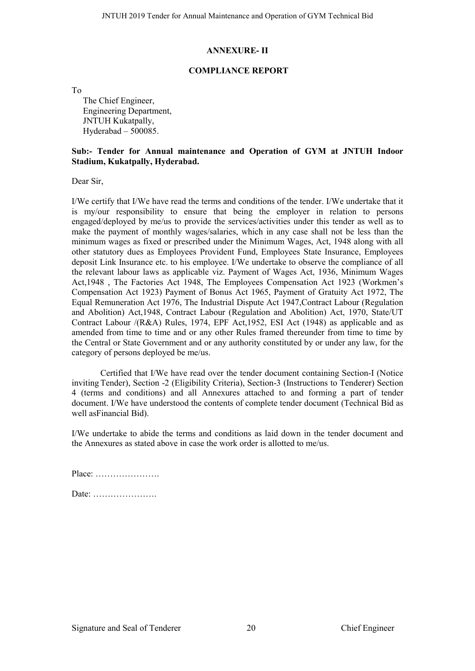#### **ANNEXURE- II**

#### **COMPLIANCE REPORT**

To

The Chief Engineer, Engineering Department, JNTUH Kukatpally. Hyderabad – 500085.

#### **Sub:- Tender for Annual maintenance and Operation of GYM at JNTUH Indoor Stadium, Kukatpally, Hyderabad.**

Dear Sir

I/We certify that I/We have read the terms and conditions of the tender. I/We undertake that it is my/our responsibility to ensure that being the employer in relation to persons engaged/deployed by me/us to provide the services/activities under this tender as well as to make the payment of monthly wages/salaries, which in any case shall not be less than the minimum wages as fixed or prescribed under the Minimum Wages, Act, 1948 along with all other statutory dues as Employees Provident Fund, Employees State Insurance, Employees deposit Link Insurance etc. to his employee. I/We undertake to observe the compliance of all the relevant labour laws as applicable viz. Payment of Wages Act, 1936, Minimum Wages Act,1948 , The Factories Act 1948, The Employees Compensation Act 1923 (Workmen's Compensation Act 1923) Payment of Bonus Act 1965, Payment of Gratuity Act 1972, The Equal Remuneration Act 1976, The Industrial Dispute Act 1947,Contract Labour (Regulation and Abolition) Act,1948, Contract Labour (Regulation and Abolition) Act, 1970, State/UT Contract Labour /(R&A) Rules, 1974, EPF Act,1952, ESI Act (1948) as applicable and as amended from time to time and or any other Rules framed thereunder from time to time by the Central or State Government and or any authority constituted by or under any law, for the category of persons deployed be me/us.

Certified that I/We have read over the tender document containing Section-I (Notice invitingTender), Section -2 (Eligibility Criteria), Section-3 (Instructions to Tenderer) Section 4 (terms and conditions) and all Annexures attached to and forming a part of tender document. I/We have understood the contents of complete tender document (Technical Bid as well asFinancial Bid).

I/We undertake to abide the terms and conditions as laid down in the tender document and the Annexures as stated above in case the work order is allotted to me/us.

| $Place: \ldots \ldots \ldots \ldots \ldots \ldots$ |  |  |  |  |  |  |  |  |  |  |  |
|----------------------------------------------------|--|--|--|--|--|--|--|--|--|--|--|
|                                                    |  |  |  |  |  |  |  |  |  |  |  |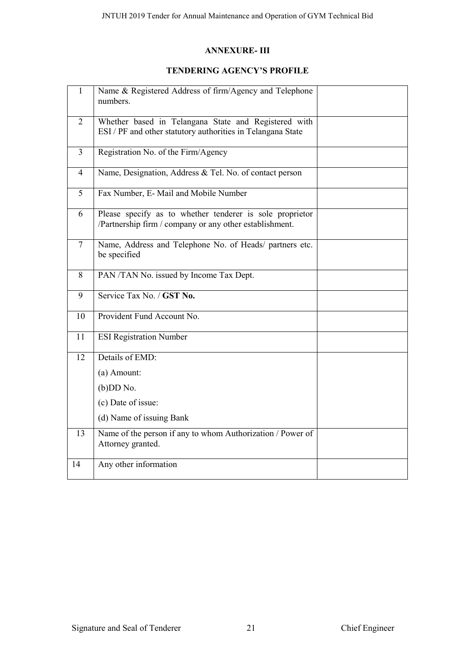### **ANNEXURE- III**

#### **TENDERING AGENCY'S PROFILE**

| $\mathbf{1}$   | Name & Registered Address of firm/Agency and Telephone<br>numbers.                                                  |  |
|----------------|---------------------------------------------------------------------------------------------------------------------|--|
| $\overline{2}$ | Whether based in Telangana State and Registered with<br>ESI / PF and other statutory authorities in Telangana State |  |
| $\overline{3}$ | Registration No. of the Firm/Agency                                                                                 |  |
| $\overline{4}$ | Name, Designation, Address & Tel. No. of contact person                                                             |  |
| 5              | Fax Number, E- Mail and Mobile Number                                                                               |  |
| 6              | Please specify as to whether tenderer is sole proprietor<br>/Partnership firm / company or any other establishment. |  |
| $\overline{7}$ | Name, Address and Telephone No. of Heads/ partners etc.<br>be specified                                             |  |
| 8              | PAN /TAN No. issued by Income Tax Dept.                                                                             |  |
| 9              | Service Tax No. / GST No.                                                                                           |  |
| 10             | Provident Fund Account No.                                                                                          |  |
| 11             | <b>ESI Registration Number</b>                                                                                      |  |
| 12             | Details of EMD:                                                                                                     |  |
|                | (a) Amount:                                                                                                         |  |
|                | $(b)$ DD No.                                                                                                        |  |
|                | (c) Date of issue:                                                                                                  |  |
|                | (d) Name of issuing Bank                                                                                            |  |
| 13             | Name of the person if any to whom Authorization / Power of<br>Attorney granted.                                     |  |
| 14             | Any other information                                                                                               |  |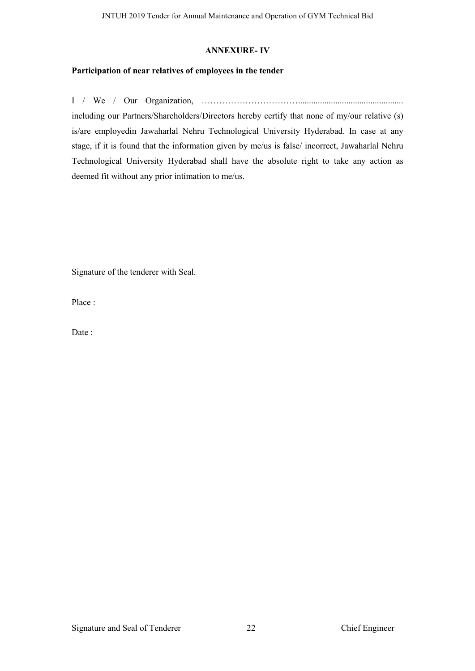#### **ANNEXURE- IV**

#### **Participation of near relatives of employees in the tender**

I / We / Our Organization, ……………………………................................................ including our Partners/Shareholders/Directors hereby certify that none of my/our relative (s) is/are employedin Jawaharlal Nehru Technological University Hyderabad. In case at any stage, if it is found that the information given by me/us is false/ incorrect, Jawaharlal Nehru Technological University Hyderabad shall have the absolute right to take any action as deemed fit without any prior intimation to me/us.

Signature of the tenderer with Seal.

Place :

Date: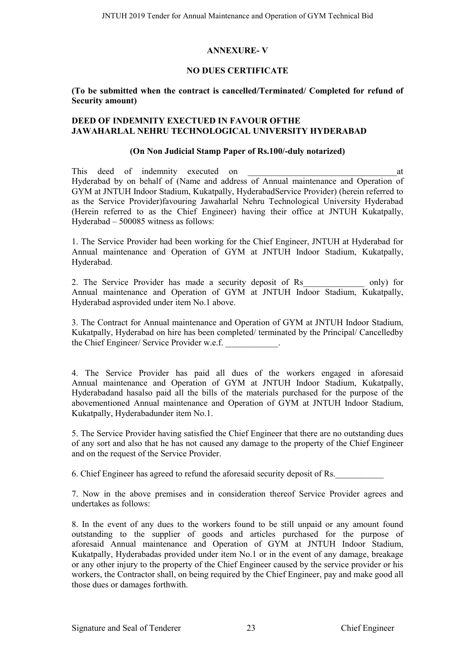#### **ANNEXURE- V**

#### **NO DUES CERTIFICATE**

#### **(To be submitted when the contract is cancelled/Terminated/ Completed for refund of Security amount)**

#### **DEED OF INDEMNITY EXECTUED IN FAVOUR OFTHE JAWAHARLAL NEHRU TECHNOLOGICAL UNIVERSITY HYDERABAD**

#### **(On Non Judicial Stamp Paper of Rs.100/-duly notarized)**

This deed of indemnity executed on the state of the state of  $\alpha$  at Hyderabad by on behalf of (Name and address of Annual maintenance and Operation of GYM at JNTUH Indoor Stadium, Kukatpally, HyderabadService Provider) (herein referred to as the Service Provider)favouring Jawaharlal Nehru Technological University Hyderabad (Herein referred to as the Chief Engineer) having their office at JNTUH Kukatpally, Hyderabad – 500085 witness as follows:

1. The Service Provider had been working for the Chief Engineer, JNTUH at Hyderabad for Annual maintenance and Operation of GYM at JNTUH Indoor Stadium, Kukatpally, Hyderabad.

2. The Service Provider has made a security deposit of Rs only) for Annual maintenance and Operation of GYM at JNTUH Indoor Stadium, Kukatpally, Hyderabad asprovided under item No.1 above.

3. The Contract for Annual maintenance and Operation of GYM at JNTUH Indoor Stadium, Kukatpally, Hyderabad on hire has been completed/ terminated by the Principal/ Cancelledby the Chief Engineer/ Service Provider w.e.f.

4. The Service Provider has paid all dues of the workers engaged in aforesaid Annual maintenance and Operation of GYM at JNTUH Indoor Stadium, Kukatpally, Hyderabadand hasalso paid all the bills of the materials purchased for the purpose of the abovementioned Annual maintenance and Operation of GYM at JNTUH Indoor Stadium, Kukatpally, Hyderabadunder item No.1.

5. The Service Provider having satisfied the Chief Engineer that there are no outstanding dues of any sort and also that he has not caused any damage to the property of the Chief Engineer and on the request of the Service Provider.

6. Chief Engineer has agreed to refund the aforesaid security deposit of Rs.

7. Now in the above premises and in consideration thereof Service Provider agrees and undertakes as follows:

8. In the event of any dues to the workers found to be still unpaid or any amount found outstanding to the supplier of goods and articles purchased for the purpose of aforesaid Annual maintenance and Operation of GYM at JNTUH Indoor Stadium, Kukatpally, Hyderabadas provided under item No.1 or in the event of any damage, breakage or any other injury to the property of the Chief Engineer caused by the service provider or his workers, the Contractor shall, on being required by the Chief Engineer, pay and make good all those dues or damages forthwith.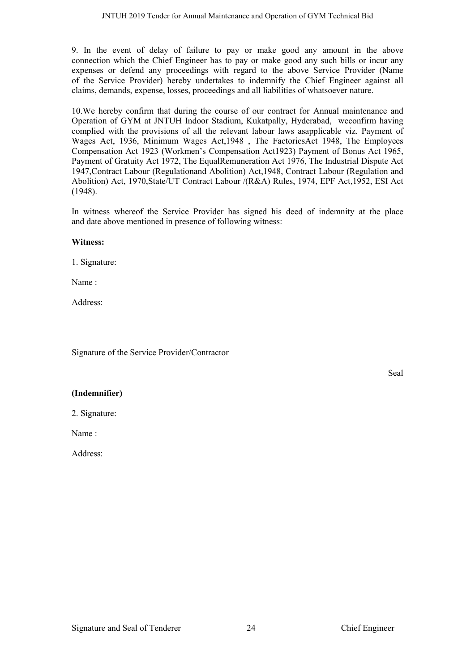9. In the event of delay of failure to pay or make good any amount in the above connection which the Chief Engineer has to pay or make good any such bills or incur any expenses or defend any proceedings with regard to the above Service Provider (Name of the Service Provider) hereby undertakes to indemnify the Chief Engineer against all claims, demands, expense, losses, proceedings and all liabilities of whatsoever nature.

10.We hereby confirm that during the course of our contract for Annual maintenance and Operation of GYM at JNTUH Indoor Stadium, Kukatpally, Hyderabad, weconfirm having complied with the provisions of all the relevant labour laws asapplicable viz. Payment of Wages Act, 1936, Minimum Wages Act,1948 , The FactoriesAct 1948, The Employees Compensation Act 1923 (Workmen's Compensation Act1923) Payment of Bonus Act 1965, Payment of Gratuity Act 1972, The EqualRemuneration Act 1976, The Industrial Dispute Act 1947,Contract Labour (Regulationand Abolition) Act,1948, Contract Labour (Regulation and Abolition) Act, 1970,State/UT Contract Labour /(R&A) Rules, 1974, EPF Act,1952, ESI Act (1948).

In witness whereof the Service Provider has signed his deed of indemnity at the place and date above mentioned in presence of following witness:

#### **Witness:**

1. Signature:

Name :

Address:

Signature of the Service Provider/Contractor

Seal

#### **(Indemnifier)**

2. Signature:

Name :

Address: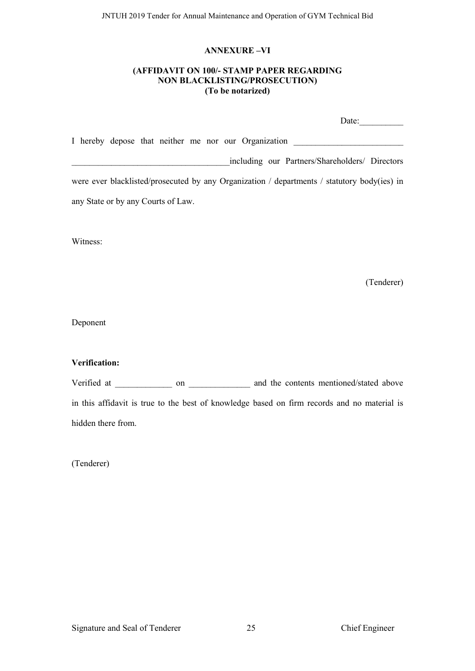#### **ANNEXURE –VI**

#### **(AFFIDAVIT ON 100/- STAMP PAPER REGARDING NON BLACKLISTING/PROSECUTION) (To be notarized)**

| Date:                                                                                       |
|---------------------------------------------------------------------------------------------|
| I hereby depose that neither me nor our Organization                                        |
| including our Partners/Shareholders/ Directors                                              |
| were ever blacklisted/prosecuted by any Organization / departments / statutory body(ies) in |
| any State or by any Courts of Law.                                                          |

Witness:

(Tenderer)

Deponent

#### **Verification:**

Verified at \_\_\_\_\_\_\_\_\_\_\_\_\_ on \_\_\_\_\_\_\_\_\_\_\_\_\_ and the contents mentioned/stated above in this affidavit is true to the best of knowledge based on firm records and no material is hidden there from.

(Tenderer)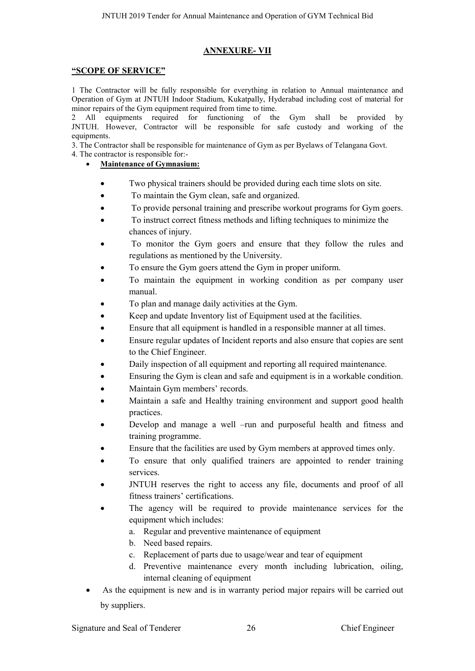#### **ANNEXURE- VII**

#### **"SCOPE OF SERVICE"**

1 The Contractor will be fully responsible for everything in relation to Annual maintenance and Operation of Gym at JNTUH Indoor Stadium, Kukatpally, Hyderabad including cost of material for minor repairs of the Gym equipment required from time to time.

2 All equipments required for functioning of the Gym shall be provided by JNTUH. However, Contractor will be responsible for safe custody and working of the equipments.

3. The Contractor shall be responsible for maintenance of Gym as per Byelaws of Telangana Govt. 4. The contractor is responsible for:-

#### **Maintenance of Gymnasium:**

- Two physical trainers should be provided during each time slots on site.
- To maintain the Gym clean, safe and organized.
- To provide personal training and prescribe workout programs for Gym goers.
- To instruct correct fitness methods and lifting techniques to minimize the chances of injury.
- To monitor the Gym goers and ensure that they follow the rules and regulations as mentioned by the University.
- To ensure the Gym goers attend the Gym in proper uniform.
- To maintain the equipment in working condition as per company user manual.
- To plan and manage daily activities at the Gym.
- Keep and update Inventory list of Equipment used at the facilities.
- Ensure that all equipment is handled in a responsible manner at all times.
- Ensure regular updates of Incident reports and also ensure that copies are sent to the Chief Engineer.
- Daily inspection of all equipment and reporting all required maintenance.
- Ensuring the Gym is clean and safe and equipment is in a workable condition.
- Maintain Gym members' records.
- Maintain a safe and Healthy training environment and support good health practices.
- Develop and manage a well –run and purposeful health and fitness and training programme.
- Ensure that the facilities are used by Gym members at approved times only.
- To ensure that only qualified trainers are appointed to render training services.
- JNTUH reserves the right to access any file, documents and proof of all fitness trainers' certifications.
- The agency will be required to provide maintenance services for the equipment which includes:
	- a. Regular and preventive maintenance of equipment
	- b. Need based repairs.
	- c. Replacement of parts due to usage/wear and tear of equipment
	- d. Preventive maintenance every month including lubrication, oiling, internal cleaning of equipment
- As the equipment is new and is in warranty period major repairs will be carried out by suppliers.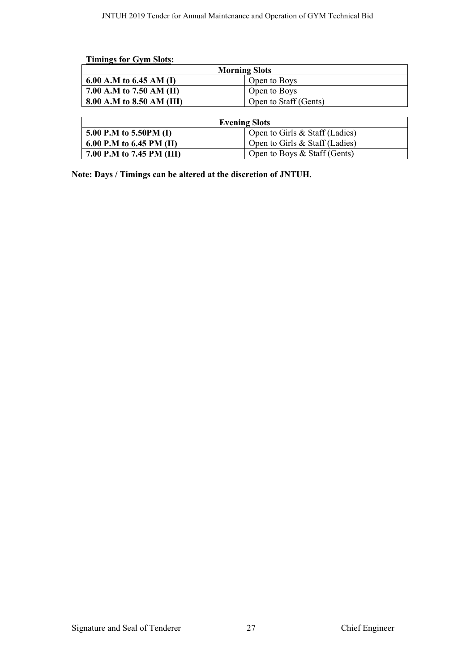|                           | <b>Morning Slots</b>  |
|---------------------------|-----------------------|
| 6.00 A.M to 6.45 AM (I)   | Open to Boys          |
| 7.00 A.M to 7.50 AM (II)  | Open to Boys          |
| 8.00 A.M to 8.50 AM (III) | Open to Staff (Gents) |

| <b>Evening Slots</b>      |                                  |  |  |  |  |
|---------------------------|----------------------------------|--|--|--|--|
| 5.00 P.M to 5.50PM (I)    | Open to Girls $&$ Staff (Ladies) |  |  |  |  |
| 6.00 P.M to 6.45 PM (II)  | Open to Girls & Staff (Ladies)   |  |  |  |  |
| 7.00 P.M to 7.45 PM (III) | Open to Boys $&$ Staff (Gents)   |  |  |  |  |

**Note: Days / Timings can be altered at the discretion of JNTUH.**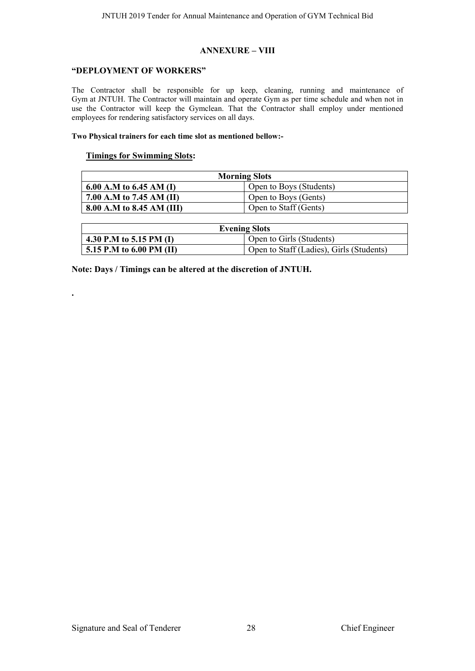#### **ANNEXURE – VIII**

#### **"DEPLOYMENT OF WORKERS"**

The Contractor shall be responsible for up keep, cleaning, running and maintenance of Gym at JNTUH. The Contractor will maintain and operate Gym as per time schedule and when not in use the Contractor will keep the Gymclean. That the Contractor shall employ under mentioned employees for rendering satisfactory services on all days.

#### **Two Physical trainers for each time slot as mentioned bellow:-**

#### **Timings for Swimming Slots:**

**.**

| <b>Morning Slots</b>      |                         |  |  |  |  |
|---------------------------|-------------------------|--|--|--|--|
| 6.00 A.M to 6.45 AM (I)   | Open to Boys (Students) |  |  |  |  |
| 7.00 A.M to 7.45 AM (II)  | Open to Boys (Gents)    |  |  |  |  |
| 8.00 A.M to 8.45 AM (III) | Open to Staff (Gents)   |  |  |  |  |

| <b>Evening Slots</b>     |                                          |  |  |  |  |
|--------------------------|------------------------------------------|--|--|--|--|
| 4.30 P.M to 5.15 PM (I)  | Open to Girls (Students)                 |  |  |  |  |
| 5.15 P.M to 6.00 PM (II) | Open to Staff (Ladies), Girls (Students) |  |  |  |  |

**Note: Days / Timings can be altered at the discretion of JNTUH.**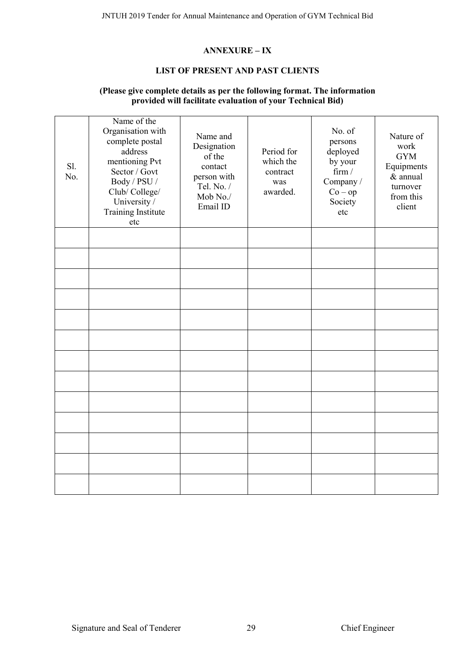#### **ANNEXURE – IX**

#### **LIST OF PRESENT AND PAST CLIENTS**

#### **(Please give complete details as per the following format. The information provided will facilitate evaluation of your Technical Bid)**

| Sl.<br>No. | Name of the<br>Organisation with<br>complete postal<br>address<br>mentioning Pvt<br>Sector / Govt<br>Body / PSU /<br>Club/College/<br>University /<br><b>Training Institute</b><br>etc | Name and<br>Designation<br>of the<br>contact<br>person with<br>Tel. No. /<br>Mob No./<br>Email ID | Period for<br>which the<br>contract<br>was<br>awarded. | No. of<br>persons<br>deployed<br>by your<br>firm/<br>Company /<br>$Co - op$<br>Society<br>etc | Nature of<br>work<br><b>GYM</b><br>Equipments<br>& annual<br>turnover<br>from this<br>client |
|------------|----------------------------------------------------------------------------------------------------------------------------------------------------------------------------------------|---------------------------------------------------------------------------------------------------|--------------------------------------------------------|-----------------------------------------------------------------------------------------------|----------------------------------------------------------------------------------------------|
|            |                                                                                                                                                                                        |                                                                                                   |                                                        |                                                                                               |                                                                                              |
|            |                                                                                                                                                                                        |                                                                                                   |                                                        |                                                                                               |                                                                                              |
|            |                                                                                                                                                                                        |                                                                                                   |                                                        |                                                                                               |                                                                                              |
|            |                                                                                                                                                                                        |                                                                                                   |                                                        |                                                                                               |                                                                                              |
|            |                                                                                                                                                                                        |                                                                                                   |                                                        |                                                                                               |                                                                                              |
|            |                                                                                                                                                                                        |                                                                                                   |                                                        |                                                                                               |                                                                                              |
|            |                                                                                                                                                                                        |                                                                                                   |                                                        |                                                                                               |                                                                                              |
|            |                                                                                                                                                                                        |                                                                                                   |                                                        |                                                                                               |                                                                                              |
|            |                                                                                                                                                                                        |                                                                                                   |                                                        |                                                                                               |                                                                                              |
|            |                                                                                                                                                                                        |                                                                                                   |                                                        |                                                                                               |                                                                                              |
|            |                                                                                                                                                                                        |                                                                                                   |                                                        |                                                                                               |                                                                                              |
|            |                                                                                                                                                                                        |                                                                                                   |                                                        |                                                                                               |                                                                                              |
|            |                                                                                                                                                                                        |                                                                                                   |                                                        |                                                                                               |                                                                                              |